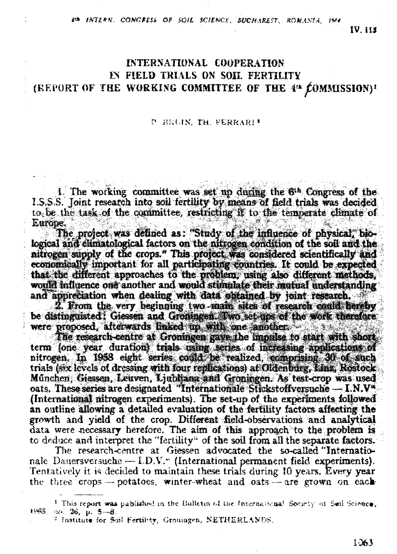8th INTERN, CONGRESS OF SOIL SCIENCE, BUCHAREST, ROMANIA, 1964

**IV IIS** 

## **INTERNATIONAL COOPERATION** IN FIELD TRIALS ON SOIL FERTILITY (REPORT OF THE WORKING COMMITTEE OF THE 4<sup>th</sup> COMMISSION)<sup>1</sup>

## P BRUIN TH FERRARI\*

1. The working committee was set up during the  $6<sup>th</sup>$  Congress of the 1.S.S.S. Joint research into soil fertility by means of field trials was decided to be the task of the committee, restricting if to the termerate climate of Europe.

The protect was defined as: "Study of the influence of physical, biological and elimatological factors on the nitrogen condition of the soil and the nitrogen supply of the crops." This project was considered scientifically and economically important for all participating countries. It could be expected that the different approaches to the problem, using also different methods, would influence one another and would stimulate their mutual understanding and appreciation when dealing with data obtained by joint research.

2. From the very beginning two main sites of research could hereby be distinguisted: Giessen and Groningen. Two set-ups of the work therefore were proposed, afterwards linked up with one amother.

The research-centre at Groningen gave the impulse to start with short term fone year duration) trials using series of increasing applications of nitrogen. In 1958 eight series could be realized, comprising 30 of such trials (six levels of dressing with four replications) at Oldenburg, Linz, Rostock München, Giessen, Leuven, Ljubljana and Groningen. As test-crop was used oats. These series are designated "Internationale Stickstoffversuche - I.N.V" (International nitrogen experiments). The set-up of the experiments followed an outline allowing a detailed evaluation of the fertility factors affecting the growth and yield of the crop. Different field-observations and analytical data were necessary herefore. The aim of this approach to the problem is to deduce and interpret the "fertility" of the soil from all the separate factors.

The research-centre at Giessen advocated the so-called "Internationale Dauersversuche - I.D.V." (International permanent field experiments). Tentatively it is decided to maintain these trials during 10 years. Every year the three crops - potatoes, winter-wheat and oats - are grown on each-

<sup>&</sup>lt;sup>1</sup> This report was published in the Bulletin of the International Society of Seil Science, 1965. п. 26, µ. <del>5—8</del>.

<sup>&</sup>lt;sup>2</sup> Institute for Soil Fertility, Grouingen, NETHERLANDS.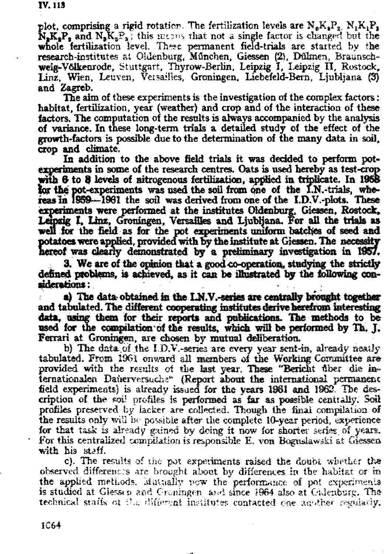plot, comprising a rigid rotation. The fertilization levels are  $N_aK_aP_a$ ,  $N_1K_1P_a$  $N_{2}K_{1}P_{2}$  and  $N_{2}K_{3}P_{3}$ ; this means that not a single factor is changed but the whole fertilization level. These permanent field-trials are started by the research-institutes at Oldenburg, München, Giessen (2), Dühnen, Braunschweig-Völkenrode, Stuttgart, Thyrow-Berlin, Leipzig I, Leipzig II, Rostock, Linz, Wien, Leuven, Versailles, Groningen, Liebefeld-Bern, Ljubliana (3) and Zagreb.

The aim of these experiments is the investigation of the complex factors: habitat, fertilization, year (weather) and crop and of the interaction of these factors. The computation of the results is always accompanied by the analysis of variance. In these long-term trials a detailed study of the effect of the growth-factors is possible due to the determination of the many data in soil, crop and climate.

In addition to the above field trials it was decided to perform potexperiments in some of the research centres. Oats is used hereby as test-crop with 6 to 8 levels of nitrogenous fertilization, applied in triplicate. In 1958 for the pot-experiments was used the soil from one of the I.N.-trials, whereas in 1959—1961 the soil was derived from one of the I.D.V.-plots. These experiments were performed at the institutes Oldenburg, Giessen, Rostock, Leipzig I, Linz, Groningen, Versailles and Ljubljana. For all the trials as well for the field as for the pot experiments uniform batches of seed and potatoes were applied, provided with by the institute at Giessen. The necessity hereof was clearly demonstrated by a preliminary investigation in 1957.

3. We are of the opinion that a good co-operation, studying the strictly defined problems, is achieved, as it can be illustrated by the following considerations:

a) The data obtained in the I.N.V.-series are centrally brought together and tabulated. The different cooperating institutes derive herefrom interesting data, using them for their reports and publications. The methods to be used for the compilation of the results, which will be performed by Th. J. Ferrari at Groningen, are chosen by mutual deliberation.

b) The data of the I.D.V.-series are every year sent-in, already neatly tabulated. From 1961 onward all members of the Working Committee are provided with the results of the last year. These "Bericht ther die internationalen Dauerversuche" (Report about the international permanent field experiments) is already issued for the years 1961 and 1962. The description of the soil profiles is performed as far as possible centrally. Soil profiles preserved by lacker are collected. Though the final compilation of the results only will be possible after the complete 10-year period, experience for that task is already gained by deing it now for shorter series of years. For this centralized compilation is responsible E, von Boguslawski at Giessen with his staff.

c). The results of the pot experiments raised the doubt whether the observed differences are brought about by differences in the habitat or in the applied methods, Mutually now the performance of pot experiments is studied at Giessen and Croningen and since 1964 also at Cidenburg. The technical staffs of the different institutes contacted one another regularly.

1064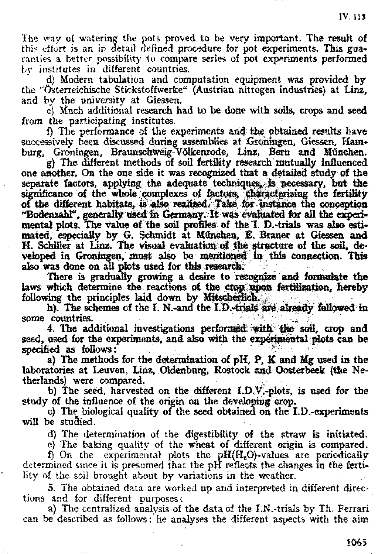The way of watering the pots proved to be very important. The result of this effort is an in detail defined procedure for pot experiments. This guaranties a better possibility to compare series of pot experiments performed by institutes in different countries.

d) Modern tabulation and computation equipment was provided by the "Österreichische Stickstoffwerke" (Austrian nitrogen industries) at Linz. and by the university at Giessen.

e) Much additional research had to be done with sols, crops and seed from the participating institutes..

f) The performance of the experiments and the obtained results have successively been discussed during assemblies at Groningen, Giessen, Hamburg, Groningen, Braunschweig-Völkenrode, Linz, Bern and München.

g) The different methods of soil fertility research mutually influenced one another. On the one side it was recognized that a detailed study of the separate factors, applying the adequate techniques, is necessary, but the significance of the whole complexes of factors, characterizing the fer of the different habitats, is also realized. Take for instance the conc "Bodenzahl", generally used in Germany. It was evaluated for all the experimental plots. The value of the soil profiles of the I. D.-trials was also estimated, especially by G. Schmidt at München, E. Brauer at Giessen and H. Schiller at Linz. The visual evaluation of the structure of the soil, developed in Groningen, must also be mentioned in this connection. This also was done on all plots used for this research.

There is gradually growing a desire to recognize and formulate the laws which determine the reactions of the crop upon fertilization, hereby following the principles laid down by Mitscherlich.

h). The schemes of the I. N.-and the I.D.-trials are already followed in some countries.

4. The additional investigations performed with the soil, crop and seed, used for the experiments, and also with the experimental plots can be specified as follows:

a) The methods for the détermination of pH, P, K and Mg used in the laboratories at Leuven, Linz, Oldenburg, Rostock and Oosterbeek (the Netherlands) were compared.

b) The seed, harvested on the different I.D.V.-plots, is used for the study of the influence of the origin on the developing crop.

c) The biological quality of the seed obtained on the I.D.-experiments will be studied.

d) The determination of the digestibility of the straw is initiated.

e) The baking quality of the wheat of different origin is compared.

f) On the experimental plots the  $pH(H<sub>3</sub>O)$ -values are periodically determined since it is presumed that the pH reflects the changes in the fertility of the soil brought about by variations in the weather.

5. The obtained data are worked up and interpreted in different directions and for different purposes-:

a) The centralized analysis of the data of the I.N.-trials by Th. Ferrari can be described as follows: he analyses the different aspects with the aim